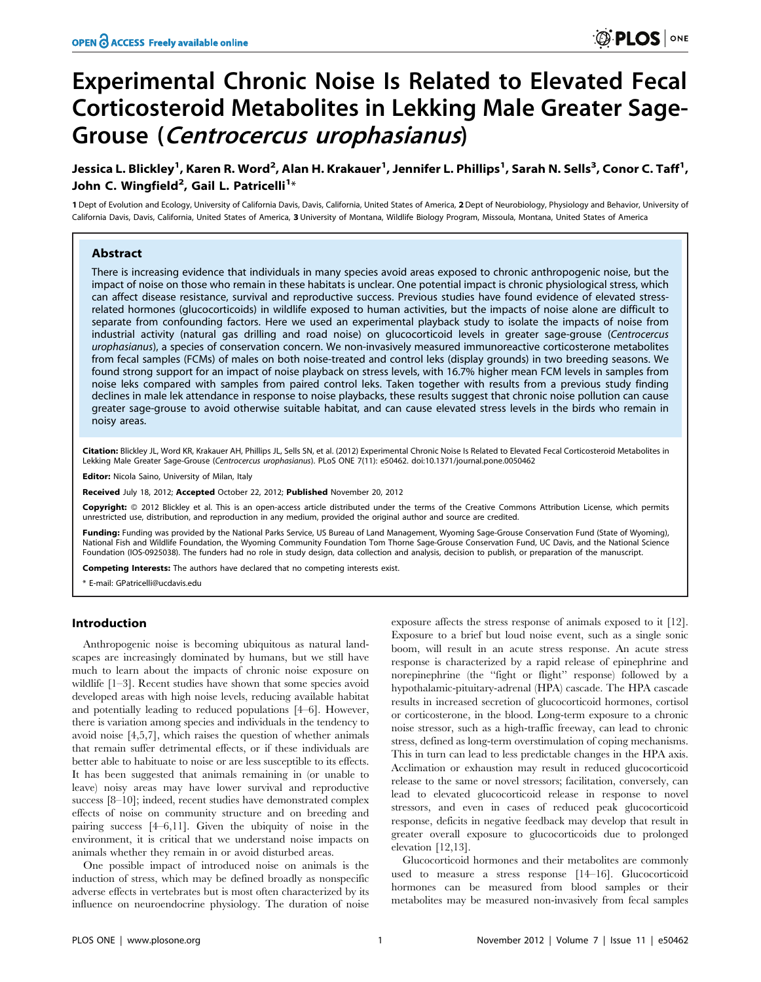# Experimental Chronic Noise Is Related to Elevated Fecal Corticosteroid Metabolites in Lekking Male Greater Sage-Grouse (Centrocercus urophasianus)

# Jessica L. Blickley<sup>1</sup>, Karen R. Word<sup>2</sup>, Alan H. Krakauer<sup>1</sup>, Jennifer L. Phillips<sup>1</sup>, Sarah N. Sells<sup>3</sup>, Conor C. Taff<sup>1</sup>, John C. Wingfield<sup>2</sup>, Gail L. Patricelli<sup>1</sup>\*

1 Dept of Evolution and Ecology, University of California Davis, Davis, California, United States of America, 2 Dept of Neurobiology, Physiology and Behavior, University of California Davis, Davis, California, United States of America, 3 University of Montana, Wildlife Biology Program, Missoula, Montana, United States of America

# Abstract

There is increasing evidence that individuals in many species avoid areas exposed to chronic anthropogenic noise, but the impact of noise on those who remain in these habitats is unclear. One potential impact is chronic physiological stress, which can affect disease resistance, survival and reproductive success. Previous studies have found evidence of elevated stressrelated hormones (glucocorticoids) in wildlife exposed to human activities, but the impacts of noise alone are difficult to separate from confounding factors. Here we used an experimental playback study to isolate the impacts of noise from industrial activity (natural gas drilling and road noise) on glucocorticoid levels in greater sage-grouse (Centrocercus urophasianus), a species of conservation concern. We non-invasively measured immunoreactive corticosterone metabolites from fecal samples (FCMs) of males on both noise-treated and control leks (display grounds) in two breeding seasons. We found strong support for an impact of noise playback on stress levels, with 16.7% higher mean FCM levels in samples from noise leks compared with samples from paired control leks. Taken together with results from a previous study finding declines in male lek attendance in response to noise playbacks, these results suggest that chronic noise pollution can cause greater sage-grouse to avoid otherwise suitable habitat, and can cause elevated stress levels in the birds who remain in noisy areas.

Citation: Blickley JL, Word KR, Krakauer AH, Phillips JL, Sells SN, et al. (2012) Experimental Chronic Noise Is Related to Elevated Fecal Corticosteroid Metabolites in Lekking Male Greater Sage-Grouse (Centrocercus urophasianus). PLoS ONE 7(11): e50462. doi:10.1371/journal.pone.0050462

Editor: Nicola Saino, University of Milan, Italy

Received July 18, 2012; Accepted October 22, 2012; Published November 20, 2012

**Copyright:** © 2012 Blickley et al. This is an open-access article distributed under the terms of the Creative Commons Attribution License, which permits unrestricted use, distribution, and reproduction in any medium, provided the original author and source are credited.

Funding: Funding was provided by the National Parks Service, US Bureau of Land Management, Wyoming Sage-Grouse Conservation Fund (State of Wyoming), National Fish and Wildlife Foundation, the Wyoming Community Foundation Tom Thorne Sage-Grouse Conservation Fund, UC Davis, and the National Science Foundation (IOS-0925038). The funders had no role in study design, data collection and analysis, decision to publish, or preparation of the manuscript.

Competing Interests: The authors have declared that no competing interests exist.

\* E-mail: GPatricelli@ucdavis.edu

# Introduction

Anthropogenic noise is becoming ubiquitous as natural landscapes are increasingly dominated by humans, but we still have much to learn about the impacts of chronic noise exposure on wildlife [1–3]. Recent studies have shown that some species avoid developed areas with high noise levels, reducing available habitat and potentially leading to reduced populations [4–6]. However, there is variation among species and individuals in the tendency to avoid noise [4,5,7], which raises the question of whether animals that remain suffer detrimental effects, or if these individuals are better able to habituate to noise or are less susceptible to its effects. It has been suggested that animals remaining in (or unable to leave) noisy areas may have lower survival and reproductive success [8–10]; indeed, recent studies have demonstrated complex effects of noise on community structure and on breeding and pairing success [4–6,11]. Given the ubiquity of noise in the environment, it is critical that we understand noise impacts on animals whether they remain in or avoid disturbed areas.

One possible impact of introduced noise on animals is the induction of stress, which may be defined broadly as nonspecific adverse effects in vertebrates but is most often characterized by its influence on neuroendocrine physiology. The duration of noise

exposure affects the stress response of animals exposed to it [12]. Exposure to a brief but loud noise event, such as a single sonic boom, will result in an acute stress response. An acute stress response is characterized by a rapid release of epinephrine and norepinephrine (the ''fight or flight'' response) followed by a hypothalamic-pituitary-adrenal (HPA) cascade. The HPA cascade results in increased secretion of glucocorticoid hormones, cortisol or corticosterone, in the blood. Long-term exposure to a chronic noise stressor, such as a high-traffic freeway, can lead to chronic stress, defined as long-term overstimulation of coping mechanisms. This in turn can lead to less predictable changes in the HPA axis. Acclimation or exhaustion may result in reduced glucocorticoid release to the same or novel stressors; facilitation, conversely, can lead to elevated glucocorticoid release in response to novel stressors, and even in cases of reduced peak glucocorticoid response, deficits in negative feedback may develop that result in greater overall exposure to glucocorticoids due to prolonged elevation [12,13].

Glucocorticoid hormones and their metabolites are commonly used to measure a stress response [14–16]. Glucocorticoid hormones can be measured from blood samples or their metabolites may be measured non-invasively from fecal samples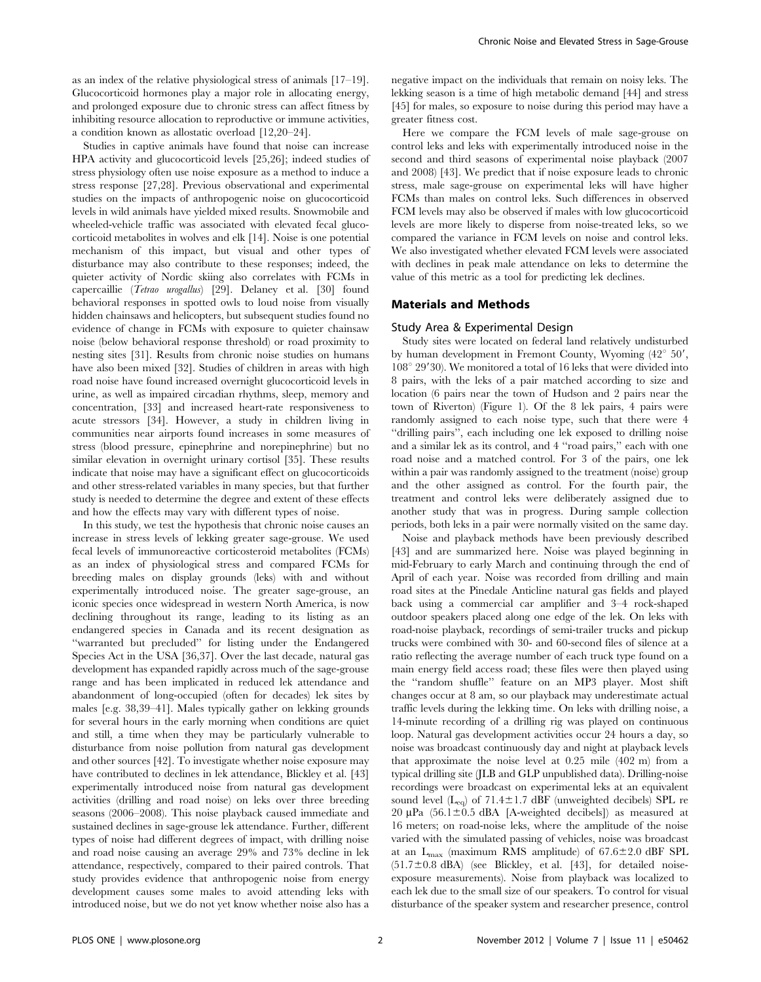as an index of the relative physiological stress of animals [17–19]. Glucocorticoid hormones play a major role in allocating energy, and prolonged exposure due to chronic stress can affect fitness by inhibiting resource allocation to reproductive or immune activities, a condition known as allostatic overload [12,20–24].

Studies in captive animals have found that noise can increase HPA activity and glucocorticoid levels [25,26]; indeed studies of stress physiology often use noise exposure as a method to induce a stress response [27,28]. Previous observational and experimental studies on the impacts of anthropogenic noise on glucocorticoid levels in wild animals have yielded mixed results. Snowmobile and wheeled-vehicle traffic was associated with elevated fecal glucocorticoid metabolites in wolves and elk [14]. Noise is one potential mechanism of this impact, but visual and other types of disturbance may also contribute to these responses; indeed, the quieter activity of Nordic skiing also correlates with FCMs in capercaillie (Tetrao urogallus) [29]. Delaney et al. [30] found behavioral responses in spotted owls to loud noise from visually hidden chainsaws and helicopters, but subsequent studies found no evidence of change in FCMs with exposure to quieter chainsaw noise (below behavioral response threshold) or road proximity to nesting sites [31]. Results from chronic noise studies on humans have also been mixed [32]. Studies of children in areas with high road noise have found increased overnight glucocorticoid levels in urine, as well as impaired circadian rhythms, sleep, memory and concentration, [33] and increased heart-rate responsiveness to acute stressors [34]. However, a study in children living in communities near airports found increases in some measures of stress (blood pressure, epinephrine and norepinephrine) but no similar elevation in overnight urinary cortisol [35]. These results indicate that noise may have a significant effect on glucocorticoids and other stress-related variables in many species, but that further study is needed to determine the degree and extent of these effects and how the effects may vary with different types of noise.

In this study, we test the hypothesis that chronic noise causes an increase in stress levels of lekking greater sage-grouse. We used fecal levels of immunoreactive corticosteroid metabolites (FCMs) as an index of physiological stress and compared FCMs for breeding males on display grounds (leks) with and without experimentally introduced noise. The greater sage-grouse, an iconic species once widespread in western North America, is now declining throughout its range, leading to its listing as an endangered species in Canada and its recent designation as ''warranted but precluded'' for listing under the Endangered Species Act in the USA [36,37]. Over the last decade, natural gas development has expanded rapidly across much of the sage-grouse range and has been implicated in reduced lek attendance and abandonment of long-occupied (often for decades) lek sites by males [e.g. 38,39–41]. Males typically gather on lekking grounds for several hours in the early morning when conditions are quiet and still, a time when they may be particularly vulnerable to disturbance from noise pollution from natural gas development and other sources [42]. To investigate whether noise exposure may have contributed to declines in lek attendance, Blickley et al. [43] experimentally introduced noise from natural gas development activities (drilling and road noise) on leks over three breeding seasons (2006–2008). This noise playback caused immediate and sustained declines in sage-grouse lek attendance. Further, different types of noise had different degrees of impact, with drilling noise and road noise causing an average 29% and 73% decline in lek attendance, respectively, compared to their paired controls. That study provides evidence that anthropogenic noise from energy development causes some males to avoid attending leks with introduced noise, but we do not yet know whether noise also has a

negative impact on the individuals that remain on noisy leks. The lekking season is a time of high metabolic demand [44] and stress [45] for males, so exposure to noise during this period may have a greater fitness cost.

Here we compare the FCM levels of male sage-grouse on control leks and leks with experimentally introduced noise in the second and third seasons of experimental noise playback (2007 and 2008) [43]. We predict that if noise exposure leads to chronic stress, male sage-grouse on experimental leks will have higher FCMs than males on control leks. Such differences in observed FCM levels may also be observed if males with low glucocorticoid levels are more likely to disperse from noise-treated leks, so we compared the variance in FCM levels on noise and control leks. We also investigated whether elevated FCM levels were associated with declines in peak male attendance on leks to determine the value of this metric as a tool for predicting lek declines.

# Materials and Methods

#### Study Area & Experimental Design

Study sites were located on federal land relatively undisturbed by human development in Fremont County, Wyoming  $(42^{\circ} 50')$ ,  $108^{\circ}$  29'30). We monitored a total of 16 leks that were divided into 8 pairs, with the leks of a pair matched according to size and location (6 pairs near the town of Hudson and 2 pairs near the town of Riverton) (Figure 1). Of the 8 lek pairs, 4 pairs were randomly assigned to each noise type, such that there were 4 ''drilling pairs'', each including one lek exposed to drilling noise and a similar lek as its control, and 4 ''road pairs,'' each with one road noise and a matched control. For 3 of the pairs, one lek within a pair was randomly assigned to the treatment (noise) group and the other assigned as control. For the fourth pair, the treatment and control leks were deliberately assigned due to another study that was in progress. During sample collection periods, both leks in a pair were normally visited on the same day.

Noise and playback methods have been previously described [43] and are summarized here. Noise was played beginning in mid-February to early March and continuing through the end of April of each year. Noise was recorded from drilling and main road sites at the Pinedale Anticline natural gas fields and played back using a commercial car amplifier and 3–4 rock-shaped outdoor speakers placed along one edge of the lek. On leks with road-noise playback, recordings of semi-trailer trucks and pickup trucks were combined with 30- and 60-second files of silence at a ratio reflecting the average number of each truck type found on a main energy field access road; these files were then played using the ''random shuffle'' feature on an MP3 player. Most shift changes occur at 8 am, so our playback may underestimate actual traffic levels during the lekking time. On leks with drilling noise, a 14-minute recording of a drilling rig was played on continuous loop. Natural gas development activities occur 24 hours a day, so noise was broadcast continuously day and night at playback levels that approximate the noise level at 0.25 mile (402 m) from a typical drilling site (JLB and GLP unpublished data). Drilling-noise recordings were broadcast on experimental leks at an equivalent sound level  $(L_{eq})$  of 71.4 $\pm$ 1.7 dBF (unweighted decibels) SPL re 20  $\mu$ Pa (56.1±0.5 dBA [A-weighted decibels]) as measured at 16 meters; on road-noise leks, where the amplitude of the noise varied with the simulated passing of vehicles, noise was broadcast at an  $L_{\text{max}}$  (maximum RMS amplitude) of 67.6 $\pm$ 2.0 dBF SPL  $(51.7\pm0.8$  dBA) (see Blickley, et al. [43], for detailed noiseexposure measurements). Noise from playback was localized to each lek due to the small size of our speakers. To control for visual disturbance of the speaker system and researcher presence, control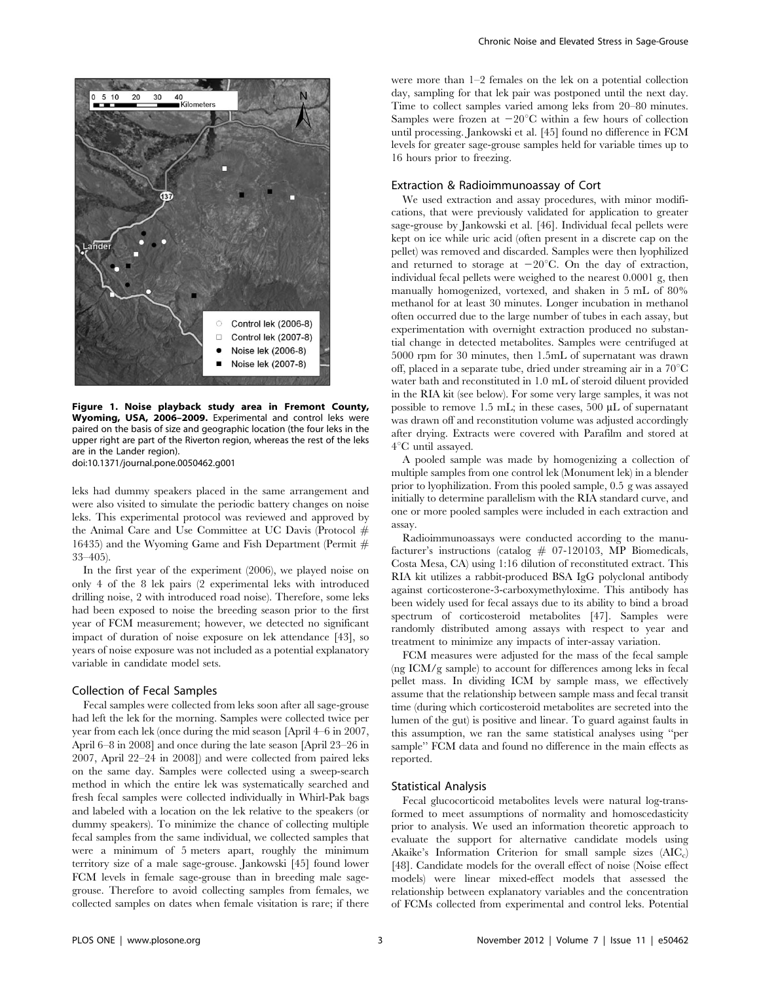

Figure 1. Noise playback study area in Fremont County, Wyoming, USA, 2006–2009. Experimental and control leks were paired on the basis of size and geographic location (the four leks in the upper right are part of the Riverton region, whereas the rest of the leks are in the Lander region). doi:10.1371/journal.pone.0050462.g001

leks had dummy speakers placed in the same arrangement and were also visited to simulate the periodic battery changes on noise leks. This experimental protocol was reviewed and approved by the Animal Care and Use Committee at UC Davis (Protocol # 16435) and the Wyoming Game and Fish Department (Permit  $#$ 33–405).

In the first year of the experiment (2006), we played noise on only 4 of the 8 lek pairs (2 experimental leks with introduced drilling noise, 2 with introduced road noise). Therefore, some leks had been exposed to noise the breeding season prior to the first year of FCM measurement; however, we detected no significant impact of duration of noise exposure on lek attendance [43], so years of noise exposure was not included as a potential explanatory variable in candidate model sets.

# Collection of Fecal Samples

Fecal samples were collected from leks soon after all sage-grouse had left the lek for the morning. Samples were collected twice per year from each lek (once during the mid season [April 4–6 in 2007, April 6–8 in 2008] and once during the late season [April 23–26 in 2007, April 22–24 in 2008]) and were collected from paired leks on the same day. Samples were collected using a sweep-search method in which the entire lek was systematically searched and fresh fecal samples were collected individually in Whirl-Pak bags and labeled with a location on the lek relative to the speakers (or dummy speakers). To minimize the chance of collecting multiple fecal samples from the same individual, we collected samples that were a minimum of 5 meters apart, roughly the minimum territory size of a male sage-grouse. Jankowski [45] found lower FCM levels in female sage-grouse than in breeding male sagegrouse. Therefore to avoid collecting samples from females, we collected samples on dates when female visitation is rare; if there were more than 1–2 females on the lek on a potential collection day, sampling for that lek pair was postponed until the next day. Time to collect samples varied among leks from 20–80 minutes. Samples were frozen at  $-20^{\circ}$ C within a few hours of collection until processing. Jankowski et al. [45] found no difference in FCM levels for greater sage-grouse samples held for variable times up to 16 hours prior to freezing.

#### Extraction & Radioimmunoassay of Cort

We used extraction and assay procedures, with minor modifications, that were previously validated for application to greater sage-grouse by Jankowski et al. [46]. Individual fecal pellets were kept on ice while uric acid (often present in a discrete cap on the pellet) was removed and discarded. Samples were then lyophilized and returned to storage at  $-20^{\circ}$ C. On the day of extraction, individual fecal pellets were weighed to the nearest 0.0001 g, then manually homogenized, vortexed, and shaken in 5 mL of 80% methanol for at least 30 minutes. Longer incubation in methanol often occurred due to the large number of tubes in each assay, but experimentation with overnight extraction produced no substantial change in detected metabolites. Samples were centrifuged at 5000 rpm for 30 minutes, then 1.5mL of supernatant was drawn off, placed in a separate tube, dried under streaming air in a  $70^{\circ}$ C water bath and reconstituted in 1.0 mL of steroid diluent provided in the RIA kit (see below). For some very large samples, it was not possible to remove 1.5 mL; in these cases, 500  $\mu$ L of supernatant was drawn off and reconstitution volume was adjusted accordingly after drying. Extracts were covered with Parafilm and stored at  $4^{\circ}$ C until assayed.

A pooled sample was made by homogenizing a collection of multiple samples from one control lek (Monument lek) in a blender prior to lyophilization. From this pooled sample, 0.5 g was assayed initially to determine parallelism with the RIA standard curve, and one or more pooled samples were included in each extraction and assay.

Radioimmunoassays were conducted according to the manufacturer's instructions (catalog  $#$  07-120103, MP Biomedicals, Costa Mesa, CA) using 1:16 dilution of reconstituted extract. This RIA kit utilizes a rabbit-produced BSA IgG polyclonal antibody against corticosterone-3-carboxymethyloxime. This antibody has been widely used for fecal assays due to its ability to bind a broad spectrum of corticosteroid metabolites [47]. Samples were randomly distributed among assays with respect to year and treatment to minimize any impacts of inter-assay variation.

FCM measures were adjusted for the mass of the fecal sample (ng ICM/g sample) to account for differences among leks in fecal pellet mass. In dividing ICM by sample mass, we effectively assume that the relationship between sample mass and fecal transit time (during which corticosteroid metabolites are secreted into the lumen of the gut) is positive and linear. To guard against faults in this assumption, we ran the same statistical analyses using ''per sample'' FCM data and found no difference in the main effects as reported.

# Statistical Analysis

Fecal glucocorticoid metabolites levels were natural log-transformed to meet assumptions of normality and homoscedasticity prior to analysis. We used an information theoretic approach to evaluate the support for alternative candidate models using Akaike's Information Criterion for small sample sizes  $(AIC<sub>c</sub>)$ [48]. Candidate models for the overall effect of noise (Noise effect models) were linear mixed-effect models that assessed the relationship between explanatory variables and the concentration of FCMs collected from experimental and control leks. Potential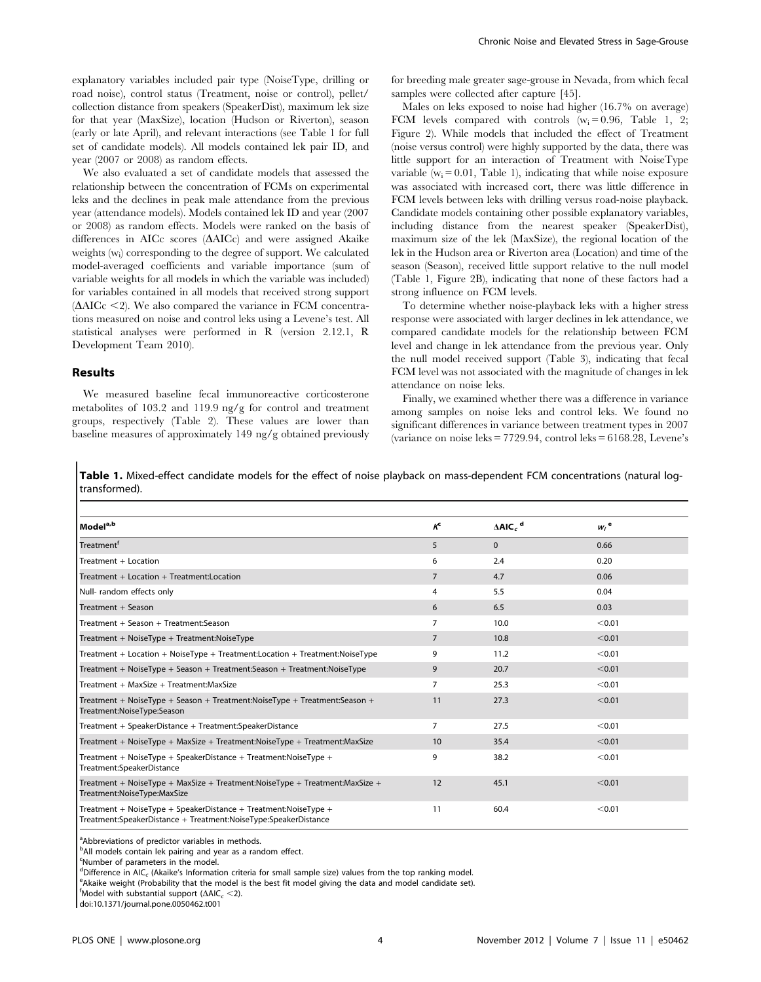explanatory variables included pair type (NoiseType, drilling or road noise), control status (Treatment, noise or control), pellet/ collection distance from speakers (SpeakerDist), maximum lek size for that year (MaxSize), location (Hudson or Riverton), season (early or late April), and relevant interactions (see Table 1 for full set of candidate models). All models contained lek pair ID, and year (2007 or 2008) as random effects.

We also evaluated a set of candidate models that assessed the relationship between the concentration of FCMs on experimental leks and the declines in peak male attendance from the previous year (attendance models). Models contained lek ID and year (2007 or 2008) as random effects. Models were ranked on the basis of differences in AICc scores  $(AAICc)$  and were assigned Akaike weights (wi ) corresponding to the degree of support. We calculated model-averaged coefficients and variable importance (sum of variable weights for all models in which the variable was included) for variables contained in all models that received strong support  $(\Delta AICc \leq 2)$ . We also compared the variance in FCM concentrations measured on noise and control leks using a Levene's test. All statistical analyses were performed in R (version 2.12.1, R Development Team 2010).

### Results

We measured baseline fecal immunoreactive corticosterone metabolites of 103.2 and 119.9 ng/g for control and treatment groups, respectively (Table 2). These values are lower than baseline measures of approximately 149 ng/g obtained previously for breeding male greater sage-grouse in Nevada, from which fecal samples were collected after capture [45].

Males on leks exposed to noise had higher (16.7% on average) FCM levels compared with controls  $(w_i= 0.96,$  Table 1, 2; Figure 2). While models that included the effect of Treatment (noise versus control) were highly supported by the data, there was little support for an interaction of Treatment with NoiseType variable  $(w_i = 0.01,$  Table 1), indicating that while noise exposure was associated with increased cort, there was little difference in FCM levels between leks with drilling versus road-noise playback. Candidate models containing other possible explanatory variables, including distance from the nearest speaker (SpeakerDist), maximum size of the lek (MaxSize), the regional location of the lek in the Hudson area or Riverton area (Location) and time of the season (Season), received little support relative to the null model (Table 1, Figure 2B), indicating that none of these factors had a strong influence on FCM levels.

To determine whether noise-playback leks with a higher stress response were associated with larger declines in lek attendance, we compared candidate models for the relationship between FCM level and change in lek attendance from the previous year. Only the null model received support (Table 3), indicating that fecal FCM level was not associated with the magnitude of changes in lek attendance on noise leks.

Finally, we examined whether there was a difference in variance among samples on noise leks and control leks. We found no significant differences in variance between treatment types in 2007 (variance on noise leks  $= 7729.94$ , control leks  $= 6168.28$ , Levene's

Table 1. Mixed-effect candidate models for the effect of noise playback on mass-dependent FCM concentrations (natural logtransformed).

| Model <sup>a,b</sup>                                                                                                               | $\kappa$       | $\Delta$ AIC <sub>c</sub> <sup>d</sup> | $W_i$ <sup>e</sup> |
|------------------------------------------------------------------------------------------------------------------------------------|----------------|----------------------------------------|--------------------|
| Treatment <sup>f</sup>                                                                                                             | 5              | $\mathbf{0}$                           | 0.66               |
| Treatment + Location                                                                                                               | 6              | 2.4                                    | 0.20               |
| Treatment + Location + Treatment:Location                                                                                          | $\overline{7}$ | 4.7                                    | 0.06               |
| Null- random effects only                                                                                                          | 4              | 5.5                                    | 0.04               |
| Treatment + Season                                                                                                                 | 6              | 6.5                                    | 0.03               |
| Treatment + Season + Treatment: Season                                                                                             | 7              | 10.0                                   | < 0.01             |
| Treatment + NoiseType + Treatment:NoiseType                                                                                        | $\overline{7}$ | 10.8                                   | < 0.01             |
| Treatment + Location + NoiseType + Treatment: Location + Treatment: NoiseType                                                      | 9              | 11.2                                   | < 0.01             |
| Treatment + NoiseType + Season + Treatment: Season + Treatment: NoiseType                                                          | 9              | 20.7                                   | < 0.01             |
| Treatment + MaxSize + Treatment:MaxSize                                                                                            | 7              | 25.3                                   | < 0.01             |
| Treatment + NoiseType + Season + Treatment:NoiseType + Treatment:Season +<br>Treatment:NoiseType:Season                            | 11             | 27.3                                   | < 0.01             |
| Treatment + SpeakerDistance + Treatment:SpeakerDistance                                                                            | 7              | 27.5                                   | < 0.01             |
| Treatment + NoiseType + MaxSize + Treatment:NoiseType + Treatment:MaxSize                                                          | 10             | 35.4                                   | < 0.01             |
| Treatment + NoiseType + SpeakerDistance + Treatment:NoiseType +<br>Treatment:SpeakerDistance                                       | 9              | 38.2                                   | < 0.01             |
| Treatment + NoiseType + MaxSize + Treatment:NoiseType + Treatment:MaxSize +<br>Treatment:NoiseType:MaxSize                         | 12             | 45.1                                   | < 0.01             |
| Treatment + NoiseType + SpeakerDistance + Treatment:NoiseType +<br>Treatment:SpeakerDistance + Treatment:NoiseType:SpeakerDistance | 11             | 60.4                                   | < 0.01             |

<sup>a</sup>Abbreviations of predictor variables in methods.

<sup>b</sup>All models contain lek pairing and year as a random effect.

<sup>c</sup>Number of parameters in the model.

dDifference in  $AIC_c$  (Akaike's Information criteria for small sample size) values from the top ranking model.<br>Selection woight (Probability that the model is the best fit model giving the data and model candidate set)

 $e^{\theta}$ Akaike weight (Probability that the model is the best fit model giving the data and model candidate set).

 $^{\mathsf{f}}$ Model with substantial support ( $\Delta$ AIC<sub>c</sub> <2).

doi:10.1371/journal.pone.0050462.t001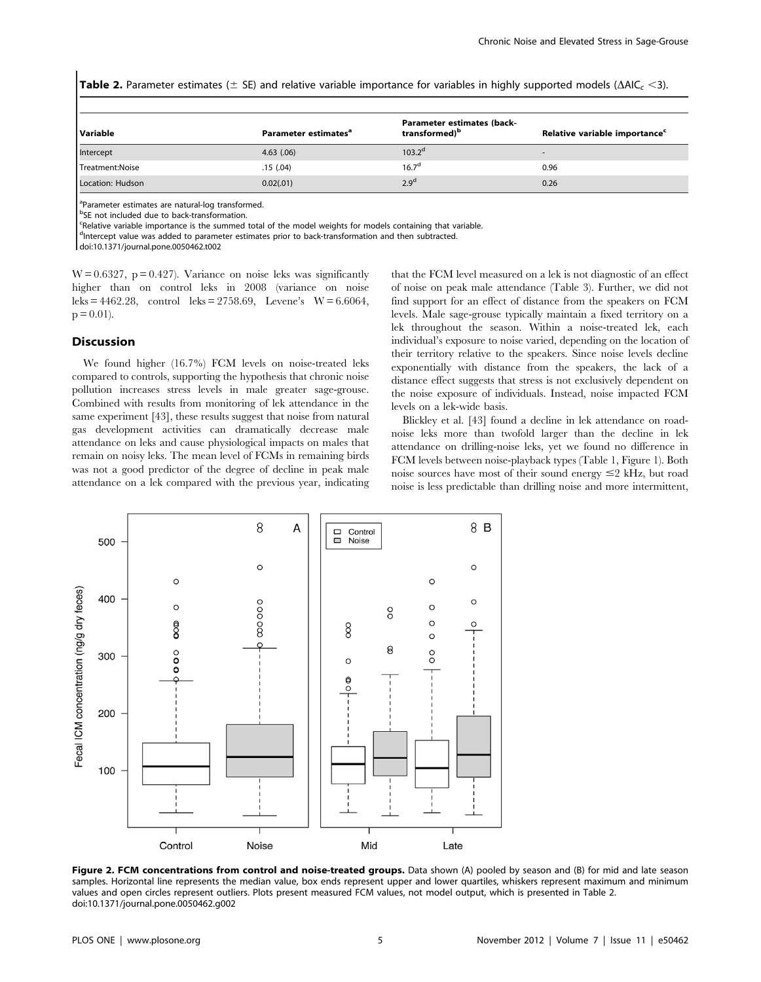**Table 2.** Parameter estimates ( $\pm$  SE) and relative variable importance for variables in highly supported models ( $\Delta AIC$ , <3).

| Variable         | Parameter estimates <sup>a</sup> | Parameter estimates (back-<br>transformed) <sup>b</sup> | Relative variable importance <sup>c</sup> |
|------------------|----------------------------------|---------------------------------------------------------|-------------------------------------------|
| Intercept        | $4.63$ $(.06)$                   | $103.2^d$                                               |                                           |
| Treatment:Noise  | .15 (.04)                        | $16.7^\circ$                                            | 0.96                                      |
| Location: Hudson | 0.02(.01)                        | 2.9 <sup>d</sup>                                        | 0.26                                      |

<sup>a</sup>Parameter estimates are natural-log transformed.

<sup>b</sup>SE not included due to back-transformation.

<sup>c</sup>Relative variable importance is the summed total of the model weights for models containing that variable.

<sup>d</sup>Intercept value was added to parameter estimates prior to back-transformation and then subtracted.

doi:10.1371/journal.pone.0050462.t002

 $W = 0.6327$ ,  $p = 0.427$ ). Variance on noise leks was significantly higher than on control leks in 2008 (variance on noise leks = 4462.28, control leks = 2758.69, Levene's  $W = 6.6064$ ,  $p = 0.01$ .

#### **Discussion**

We found higher (16.7%) FCM levels on noise-treated leks compared to controls, supporting the hypothesis that chronic noise pollution increases stress levels in male greater sage-grouse. Combined with results from monitoring of lek attendance in the same experiment [43], these results suggest that noise from natural gas development activities can dramatically decrease male attendance on leks and cause physiological impacts on males that remain on noisy leks. The mean level of FCMs in remaining birds was not a good predictor of the degree of decline in peak male attendance on a lek compared with the previous year, indicating that the FCM level measured on a lek is not diagnostic of an effect of noise on peak male attendance (Table 3). Further, we did not find support for an effect of distance from the speakers on FCM levels. Male sage-grouse typically maintain a fixed territory on a lek throughout the season. Within a noise-treated lek, each individual's exposure to noise varied, depending on the location of their territory relative to the speakers. Since noise levels decline exponentially with distance from the speakers, the lack of a distance effect suggests that stress is not exclusively dependent on the noise exposure of individuals. Instead, noise impacted FCM levels on a lek-wide basis.

Blickley et al. [43] found a decline in lek attendance on roadnoise leks more than twofold larger than the decline in lek attendance on drilling-noise leks, yet we found no difference in FCM levels between noise-playback types (Table 1, Figure 1). Both noise sources have most of their sound energy  $\leq$  kHz, but road noise is less predictable than drilling noise and more intermittent,



Figure 2. FCM concentrations from control and noise-treated groups. Data shown (A) pooled by season and (B) for mid and late season samples. Horizontal line represents the median value, box ends represent upper and lower quartiles, whiskers represent maximum and minimum values and open circles represent outliers. Plots present measured FCM values, not model output, which is presented in Table 2. doi:10.1371/journal.pone.0050462.g002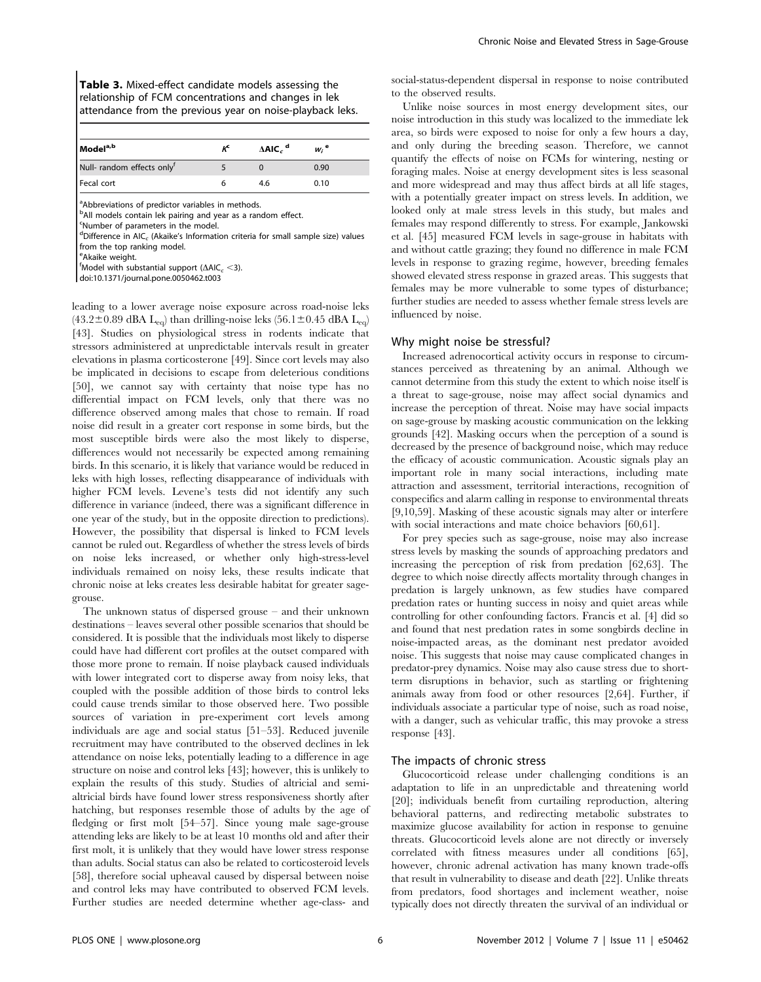| <b>Table 3.</b> Mixed-effect candidate models assessing the |
|-------------------------------------------------------------|
| relationship of FCM concentrations and changes in lek       |
| attendance from the previous year on noise-playback leks.   |

| Model <sup>a,b</sup>       | $\kappa$ | $\Delta$ AIC <sub>c</sub> <sup>d</sup> | $W_i$ <sup>e</sup> |  |
|----------------------------|----------|----------------------------------------|--------------------|--|
| Null- random effects onlyf |          |                                        | 0.90               |  |
| Fecal cort                 |          | 4.6                                    | 0.10               |  |

<sup>a</sup>Abbreviations of predictor variables in methods.

<sup>b</sup>All models contain lek pairing and year as a random effect.

<sup>c</sup>Number of parameters in the model.

 $^{\text{d}}$ Difference in AIC $_{\text{c}}$  (Akaike's Information criteria for small sample size) values from the top ranking model.

e Akaike weight.

 $^{\mathsf{f}}$ Model with substantial support ( $\Delta$ AIC<sub>c</sub> <3).

doi:10.1371/journal.pone.0050462.t003

leading to a lower average noise exposure across road-noise leks  $(43.2\pm0.89$  dBA L<sub>eq</sub>) than drilling-noise leks  $(56.1\pm0.45$  dBA L<sub>eq</sub>) [43]. Studies on physiological stress in rodents indicate that stressors administered at unpredictable intervals result in greater elevations in plasma corticosterone [49]. Since cort levels may also be implicated in decisions to escape from deleterious conditions [50], we cannot say with certainty that noise type has no differential impact on FCM levels, only that there was no difference observed among males that chose to remain. If road noise did result in a greater cort response in some birds, but the most susceptible birds were also the most likely to disperse, differences would not necessarily be expected among remaining birds. In this scenario, it is likely that variance would be reduced in leks with high losses, reflecting disappearance of individuals with higher FCM levels. Levene's tests did not identify any such difference in variance (indeed, there was a significant difference in one year of the study, but in the opposite direction to predictions). However, the possibility that dispersal is linked to FCM levels cannot be ruled out. Regardless of whether the stress levels of birds on noise leks increased, or whether only high-stress-level individuals remained on noisy leks, these results indicate that chronic noise at leks creates less desirable habitat for greater sagegrouse.

The unknown status of dispersed grouse – and their unknown destinations – leaves several other possible scenarios that should be considered. It is possible that the individuals most likely to disperse could have had different cort profiles at the outset compared with those more prone to remain. If noise playback caused individuals with lower integrated cort to disperse away from noisy leks, that coupled with the possible addition of those birds to control leks could cause trends similar to those observed here. Two possible sources of variation in pre-experiment cort levels among individuals are age and social status [51–53]. Reduced juvenile recruitment may have contributed to the observed declines in lek attendance on noise leks, potentially leading to a difference in age structure on noise and control leks [43]; however, this is unlikely to explain the results of this study. Studies of altricial and semialtricial birds have found lower stress responsiveness shortly after hatching, but responses resemble those of adults by the age of fledging or first molt [54–57]. Since young male sage-grouse attending leks are likely to be at least 10 months old and after their first molt, it is unlikely that they would have lower stress response than adults. Social status can also be related to corticosteroid levels [58], therefore social upheaval caused by dispersal between noise and control leks may have contributed to observed FCM levels. Further studies are needed determine whether age-class- and social-status-dependent dispersal in response to noise contributed to the observed results.

Unlike noise sources in most energy development sites, our noise introduction in this study was localized to the immediate lek area, so birds were exposed to noise for only a few hours a day, and only during the breeding season. Therefore, we cannot quantify the effects of noise on FCMs for wintering, nesting or foraging males. Noise at energy development sites is less seasonal and more widespread and may thus affect birds at all life stages, with a potentially greater impact on stress levels. In addition, we looked only at male stress levels in this study, but males and females may respond differently to stress. For example, Jankowski et al. [45] measured FCM levels in sage-grouse in habitats with and without cattle grazing; they found no difference in male FCM levels in response to grazing regime, however, breeding females showed elevated stress response in grazed areas. This suggests that females may be more vulnerable to some types of disturbance; further studies are needed to assess whether female stress levels are influenced by noise.

#### Why might noise be stressful?

Increased adrenocortical activity occurs in response to circumstances perceived as threatening by an animal. Although we cannot determine from this study the extent to which noise itself is a threat to sage-grouse, noise may affect social dynamics and increase the perception of threat. Noise may have social impacts on sage-grouse by masking acoustic communication on the lekking grounds [42]. Masking occurs when the perception of a sound is decreased by the presence of background noise, which may reduce the efficacy of acoustic communication. Acoustic signals play an important role in many social interactions, including mate attraction and assessment, territorial interactions, recognition of conspecifics and alarm calling in response to environmental threats [9,10,59]. Masking of these acoustic signals may alter or interfere with social interactions and mate choice behaviors [60,61].

For prey species such as sage-grouse, noise may also increase stress levels by masking the sounds of approaching predators and increasing the perception of risk from predation [62,63]. The degree to which noise directly affects mortality through changes in predation is largely unknown, as few studies have compared predation rates or hunting success in noisy and quiet areas while controlling for other confounding factors. Francis et al. [4] did so and found that nest predation rates in some songbirds decline in noise-impacted areas, as the dominant nest predator avoided noise. This suggests that noise may cause complicated changes in predator-prey dynamics. Noise may also cause stress due to shortterm disruptions in behavior, such as startling or frightening animals away from food or other resources [2,64]. Further, if individuals associate a particular type of noise, such as road noise, with a danger, such as vehicular traffic, this may provoke a stress response [43].

#### The impacts of chronic stress

Glucocorticoid release under challenging conditions is an adaptation to life in an unpredictable and threatening world [20]; individuals benefit from curtailing reproduction, altering behavioral patterns, and redirecting metabolic substrates to maximize glucose availability for action in response to genuine threats. Glucocorticoid levels alone are not directly or inversely correlated with fitness measures under all conditions [65], however, chronic adrenal activation has many known trade-offs that result in vulnerability to disease and death [22]. Unlike threats from predators, food shortages and inclement weather, noise typically does not directly threaten the survival of an individual or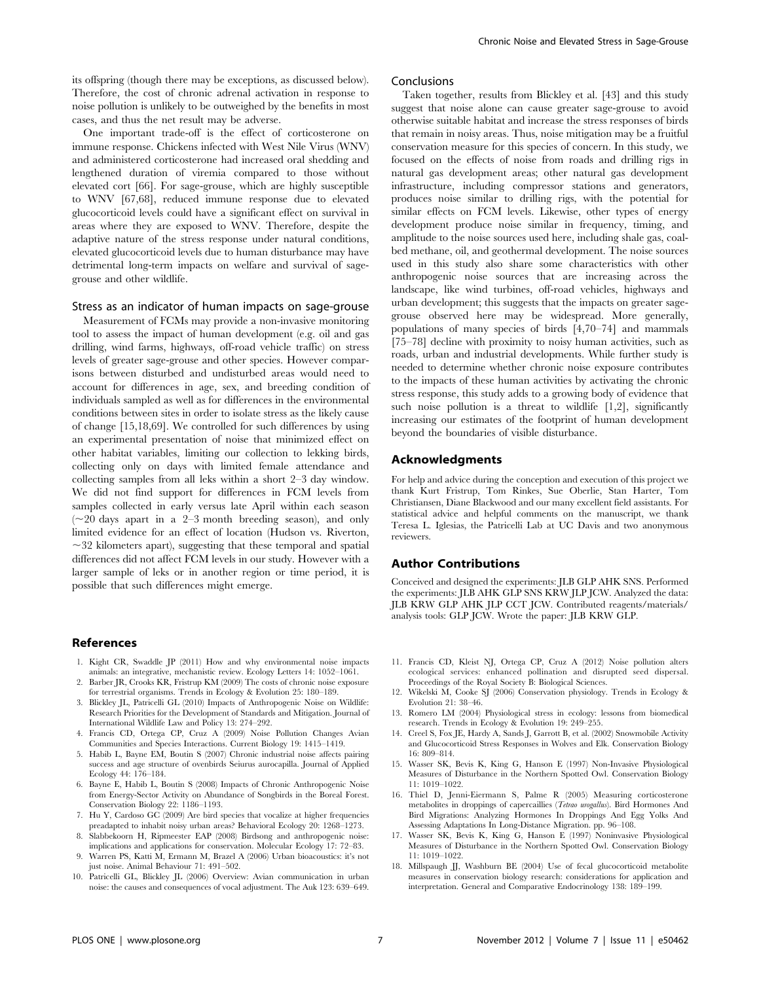its offspring (though there may be exceptions, as discussed below). Therefore, the cost of chronic adrenal activation in response to noise pollution is unlikely to be outweighed by the benefits in most cases, and thus the net result may be adverse.

One important trade-off is the effect of corticosterone on immune response. Chickens infected with West Nile Virus (WNV) and administered corticosterone had increased oral shedding and lengthened duration of viremia compared to those without elevated cort [66]. For sage-grouse, which are highly susceptible to WNV [67,68], reduced immune response due to elevated glucocorticoid levels could have a significant effect on survival in areas where they are exposed to WNV. Therefore, despite the adaptive nature of the stress response under natural conditions, elevated glucocorticoid levels due to human disturbance may have detrimental long-term impacts on welfare and survival of sagegrouse and other wildlife.

#### Stress as an indicator of human impacts on sage-grouse

Measurement of FCMs may provide a non-invasive monitoring tool to assess the impact of human development (e.g. oil and gas drilling, wind farms, highways, off-road vehicle traffic) on stress levels of greater sage-grouse and other species. However comparisons between disturbed and undisturbed areas would need to account for differences in age, sex, and breeding condition of individuals sampled as well as for differences in the environmental conditions between sites in order to isolate stress as the likely cause of change [15,18,69]. We controlled for such differences by using an experimental presentation of noise that minimized effect on other habitat variables, limiting our collection to lekking birds, collecting only on days with limited female attendance and collecting samples from all leks within a short 2–3 day window. We did not find support for differences in FCM levels from samples collected in early versus late April within each season  $(\sim 20 \text{ days}$  apart in a 2–3 month breeding season), and only limited evidence for an effect of location (Hudson vs. Riverton,  $\sim$ 32 kilometers apart), suggesting that these temporal and spatial differences did not affect FCM levels in our study. However with a larger sample of leks or in another region or time period, it is possible that such differences might emerge.

#### References

- 1. Kight CR, Swaddle JP (2011) How and why environmental noise impacts animals: an integrative, mechanistic review. Ecology Letters 14: 1052–1061.
- 2. Barber JR, Crooks KR, Fristrup KM (2009) The costs of chronic noise exposure for terrestrial organisms. Trends in Ecology & Evolution 25: 180–189.
- 3. Blickley JL, Patricelli GL (2010) Impacts of Anthropogenic Noise on Wildlife: Research Priorities for the Development of Standards and Mitigation. Journal of International Wildlife Law and Policy 13: 274–292.
- 4. Francis CD, Ortega CP, Cruz A (2009) Noise Pollution Changes Avian Communities and Species Interactions. Current Biology 19: 1415–1419.
- 5. Habib L, Bayne EM, Boutin S (2007) Chronic industrial noise affects pairing success and age structure of ovenbirds Seiurus aurocapilla. Journal of Applied Ecology 44: 176–184.
- 6. Bayne E, Habib L, Boutin S (2008) Impacts of Chronic Anthropogenic Noise from Energy-Sector Activity on Abundance of Songbirds in the Boreal Forest. Conservation Biology 22: 1186–1193.
- 7. Hu Y, Cardoso GC (2009) Are bird species that vocalize at higher frequencies preadapted to inhabit noisy urban areas? Behavioral Ecology 20: 1268–1273.
- 8. Slabbekoorn H, Ripmeester EAP (2008) Birdsong and anthropogenic noise: implications and applications for conservation. Molecular Ecology 17: 72–83.
- 9. Warren PS, Katti M, Ermann M, Brazel A (2006) Urban bioacoustics: it's not just noise. Animal Behaviour 71: 491–502.
- 10. Patricelli GL, Blickley JL (2006) Overview: Avian communication in urban noise: the causes and consequences of vocal adjustment. The Auk 123: 639–649.

#### Conclusions

Taken together, results from Blickley et al. [43] and this study suggest that noise alone can cause greater sage-grouse to avoid otherwise suitable habitat and increase the stress responses of birds that remain in noisy areas. Thus, noise mitigation may be a fruitful conservation measure for this species of concern. In this study, we focused on the effects of noise from roads and drilling rigs in natural gas development areas; other natural gas development infrastructure, including compressor stations and generators, produces noise similar to drilling rigs, with the potential for similar effects on FCM levels. Likewise, other types of energy development produce noise similar in frequency, timing, and amplitude to the noise sources used here, including shale gas, coalbed methane, oil, and geothermal development. The noise sources used in this study also share some characteristics with other anthropogenic noise sources that are increasing across the landscape, like wind turbines, off-road vehicles, highways and urban development; this suggests that the impacts on greater sagegrouse observed here may be widespread. More generally, populations of many species of birds [4,70–74] and mammals [75–78] decline with proximity to noisy human activities, such as roads, urban and industrial developments. While further study is needed to determine whether chronic noise exposure contributes to the impacts of these human activities by activating the chronic stress response, this study adds to a growing body of evidence that such noise pollution is a threat to wildlife [1,2], significantly increasing our estimates of the footprint of human development beyond the boundaries of visible disturbance.

# Acknowledgments

For help and advice during the conception and execution of this project we thank Kurt Fristrup, Tom Rinkes, Sue Oberlie, Stan Harter, Tom Christiansen, Diane Blackwood and our many excellent field assistants. For statistical advice and helpful comments on the manuscript, we thank Teresa L. Iglesias, the Patricelli Lab at UC Davis and two anonymous reviewers.

# Author Contributions

Conceived and designed the experiments: JLB GLP AHK SNS. Performed the experiments: JLB AHK GLP SNS KRW JLP JCW. Analyzed the data: JLB KRW GLP AHK JLP CCT JCW. Contributed reagents/materials/ analysis tools: GLP JCW. Wrote the paper: JLB KRW GLP.

- 11. Francis CD, Kleist NJ, Ortega CP, Cruz A (2012) Noise pollution alters ecological services: enhanced pollination and disrupted seed dispersal. Proceedings of the Royal Society B: Biological Sciences.
- 12. Wikelski M, Cooke SJ (2006) Conservation physiology. Trends in Ecology & Evolution 21: 38–46.
- 13. Romero LM (2004) Physiological stress in ecology: lessons from biomedical research. Trends in Ecology & Evolution 19: 249–255.
- 14. Creel S, Fox JE, Hardy A, Sands J, Garrott B, et al. (2002) Snowmobile Activity and Glucocorticoid Stress Responses in Wolves and Elk. Conservation Biology 16: 809–814.
- 15. Wasser SK, Bevis K, King G, Hanson E (1997) Non-Invasive Physiological Measures of Disturbance in the Northern Spotted Owl. Conservation Biology 11: 1019–1022.
- 16. Thiel D, Jenni-Eiermann S, Palme R (2005) Measuring corticosterone metabolites in droppings of capercaillies (Tetrao urogallus). Bird Hormones And Bird Migrations: Analyzing Hormones In Droppings And Egg Yolks And Assessing Adaptations In Long-Distance Migration. pp. 96–108.
- 17. Wasser SK, Bevis K, King G, Hanson E (1997) Noninvasive Physiological Measures of Disturbance in the Northern Spotted Owl. Conservation Biology 11: 1019–1022.
- 18. Millspaugh JJ, Washburn BE (2004) Use of fecal glucocorticoid metabolite measures in conservation biology research: considerations for application and interpretation. General and Comparative Endocrinology 138: 189–199.